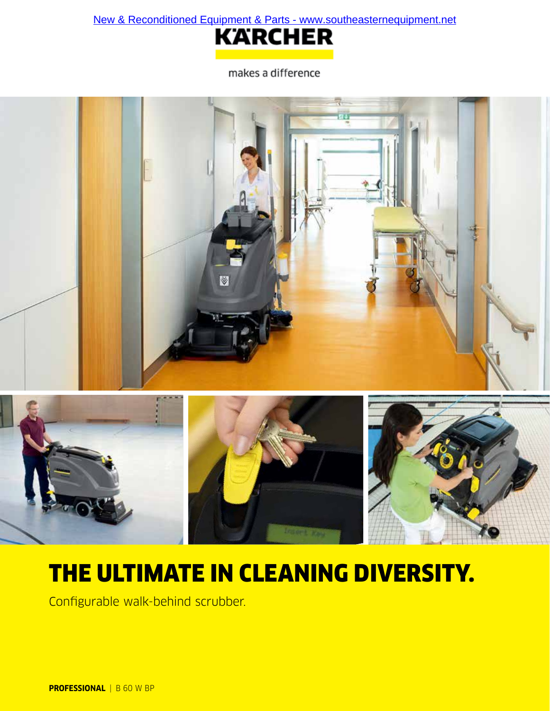[New & Reconditioned Equipment & Parts - www.southeasternequipment.net](http://www.southeasternequipment.net)



makes a difference





# THE ULTIMATE IN CLEANING DIVERSITY.

Configurable walk-behind scrubber.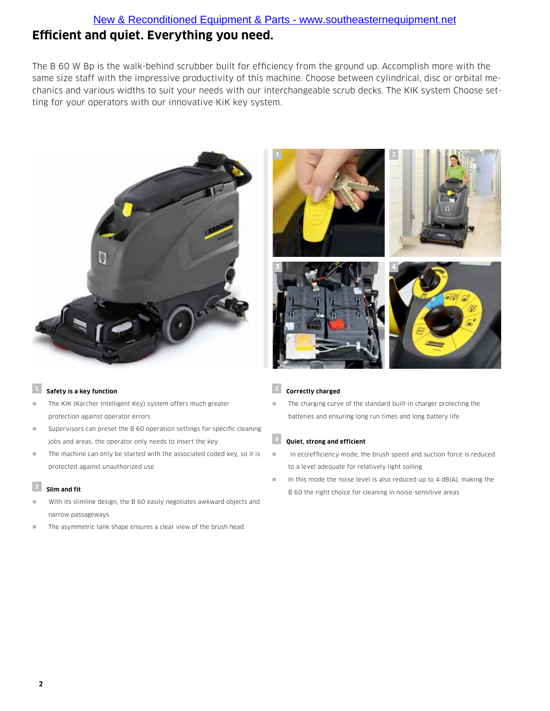The B 60 W Bp is the walk-behind scrubber built for efficiency from the ground up. Accomplish more with the same size staff with the impressive productivity of this machine. Choose between cylindrical, disc or orbital mechanics and various widths to suit your needs with our interchangeable scrub decks. The KIK system Choose setting for your operators with our innovative KiK key system.





#### **<sup>1</sup> Safety is a key function**

- The KIK (Kärcher Intelligent Key) system offers much greater protection against operator errors
- Supervisors can preset the B 60 operation settings for specific cleaning jobs and areas, the operator only needs to insert the key
- The machine can only be started with the associated coded key, so it is protected against unauthorized use

## **<sup>2</sup> Slim and fit**

- With its slimline design, the B 60 easily negotiates awkward objects and narrow passageways
- The asymmetric tank shape ensures a clear view of the brush head.

# **<sup>3</sup> Correctly charged**

The charging curve of the standard built-in charger protecting the batteries and ensuring long run times and long battery life

# **<sup>4</sup> Quiet, strong and efficient**

- In eco!efficiency mode, the brush speed and suction force is reduced to a level adequate for relatively light soiling
- In this mode the noise level is also reduced up to 4 dB(A), making the B 60 the right choice for cleaning in noise-sensitive areas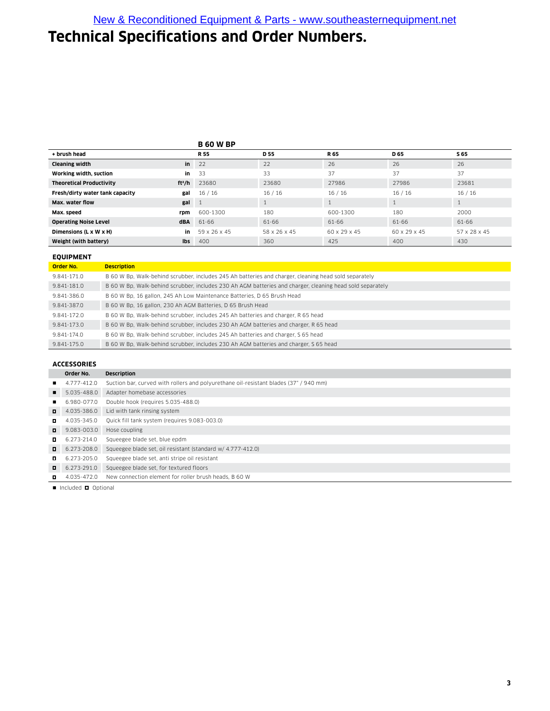# **Technical Specifications and Order Numbers.**

#### **B 60 W BP**

|                                 |            | ------       |                 |              |              |              |
|---------------------------------|------------|--------------|-----------------|--------------|--------------|--------------|
| + brush head                    |            | <b>R55</b>   | D <sub>55</sub> | R 65         | D 65         | S 65         |
| <b>Cleaning width</b>           | in         | 22           | 22              | 26           | 26           | 26           |
| Working width, suction          | in         | 33           | 33              | 37           | 37           | 37           |
| <b>Theoretical Productivity</b> | $ft^2/h$   | 23680        | 23680           | 27986        | 27986        | 23681        |
| Fresh/dirty water tank capacity | gal        | 16/16        | 16/16           | 16/16        | 16/16        | 16/16        |
| Max. water flow                 | gal        | -1           |                 |              |              | $\mathbf{1}$ |
| Max. speed                      | rpm        | 600-1300     | 180             | 600-1300     | 180          | 2000         |
| <b>Operating Noise Level</b>    | <b>dBA</b> | 61-66        | 61-66           | 61-66        | 61-66        | 61-66        |
| Dimensions (L x W x H)          | in         | 59 x 26 x 45 | 58 x 26 x 45    | 60 x 29 x 45 | 60 x 29 x 45 | 57 x 28 x 45 |
| Weight (with battery)           | <b>Ibs</b> | 400          | 360             | 425          | 400          | 430          |

#### **EQUIPMENT**

| Order No.   | <b>Description</b>                                                                                        |
|-------------|-----------------------------------------------------------------------------------------------------------|
| 9.841-171.0 | B 60 W Bp, Walk-behind scrubber, includes 245 Ah batteries and charger, cleaning head sold separately     |
| 9.841-181.0 | B 60 W Bp, Walk-behind scrubber, includes 230 Ah AGM batteries and charger, cleaning head sold separately |
| 9.841-386.0 | B 60 W Bp, 16 gallon, 245 Ah Low Maintenance Batteries, D 65 Brush Head                                   |
| 9.841-387.0 | B 60 W Bp, 16 gallon, 230 Ah AGM Batteries, D 65 Brush Head                                               |
| 9.841-172.0 | B 60 W Bp, Walk-behind scrubber, includes 245 Ah batteries and charger, R 65 head                         |
| 9.841-173.0 | B 60 W Bp, Walk-behind scrubber, includes 230 Ah AGM batteries and charger, R 65 head                     |
| 9.841-174.0 | B 60 W Bp, Walk-behind scrubber, includes 245 Ah batteries and charger, S 65 head                         |
| 9.841-175.0 | B 60 W Bp, Walk-behind scrubber, includes 230 Ah AGM batteries and charger, S 65 head                     |

## **ACCESSORIES**

|        | Order No.   | <b>Description</b>                                                                    |  |  |  |  |
|--------|-------------|---------------------------------------------------------------------------------------|--|--|--|--|
|        | 4.777-412.0 | Suction bar, curved with rollers and polyurethane oil-resistant blades (37" / 940 mm) |  |  |  |  |
|        | 5.035-488.0 | Adapter homebase accessories                                                          |  |  |  |  |
|        | 6.980-077.0 | Double hook (requires 5.035-488.0)                                                    |  |  |  |  |
|        | 4.035-386.0 | Lid with tank rinsing system                                                          |  |  |  |  |
|        | 4.035-345.0 | Quick fill tank system (requires 9.083-003.0)                                         |  |  |  |  |
|        | 9.083-003.0 | Hose coupling                                                                         |  |  |  |  |
|        | 6.273-214.0 | Squeegee blade set, blue epdm                                                         |  |  |  |  |
|        | 6.273-208.0 | Squeegee blade set, oil resistant (standard w/ 4.777-412.0)                           |  |  |  |  |
|        | 6.273-205.0 | Squeegee blade set, anti stripe oil resistant                                         |  |  |  |  |
| $\Box$ | 6.273-291.0 | Squeegee blade set, for textured floors                                               |  |  |  |  |
|        | 4.035-472.0 | New connection element for roller brush heads, B 60 W                                 |  |  |  |  |
|        |             |                                                                                       |  |  |  |  |

 $\blacksquare$  Included  $\blacksquare$  Optional